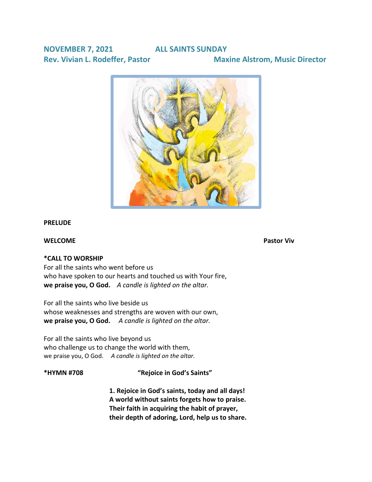# **NOVEMBER 7, 2021 ALL SAINTS SUNDAY Rev. Vivian L. Rodeffer, Pastor Maxine Alstrom, Music Director**



#### **PRELUDE**

### **WELCOME** Pastor Viv

#### **\*CALL TO WORSHIP**

For all the saints who went before us who have spoken to our hearts and touched us with Your fire, **we praise you, O God.** *A candle is lighted on the altar.*

For all the saints who live beside us whose weaknesses and strengths are woven with our own, **we praise you, O God.** *A candle is lighted on the altar.*

For all the saints who live beyond us who challenge us to change the world with them, we praise you, O God. *A candle is lighted on the altar.*

# **\*HYMN #708 "Rejoice in God's Saints"**

**1. Rejoice in God's [saints,](https://www.stnicholascenter.org/glossary#term181754) today and all days! A world without saints forgets how to praise. Their faith in acquiring the habit of prayer, their depth of adoring, Lord, help us to share.**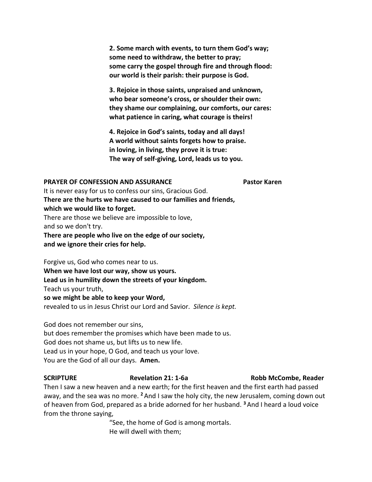**2. Some march with events, to turn them God's way; some need to withdraw, the better to pray; some carry the gospel through fire and through flood: our world is their parish: their purpose is God.**

**3. Rejoice in those saints, unpraised and unknown, who bear someone's cross, or shoulder their own: they shame our complaining, our comforts, our cares: what patience in caring, what courage is theirs!**

**4. Rejoice in God's saints, today and all days! A world without saints forgets how to praise. in loving, in living, they prove it is true: The way of self-giving, Lord, leads us to you.**

#### **PRAYER OF CONFESSION AND ASSURANCE FOR PAST PAST PAST AT PAST ASSURANCE**

It is never easy for us to confess our sins, Gracious God. **There are the hurts we have caused to our families and friends, which we would like to forget.** There are those we believe are impossible to love, and so we don't try.

**There are people who live on the edge of our society, and we ignore their cries for help.**

Forgive us, God who comes near to us. **When we have lost our way, show us yours. Lead us in humility down the streets of your kingdom.** Teach us your truth, **so we might be able to keep your Word,** revealed to us in Jesus Christ our Lord and Savior. *Silence is kept.*

God does not remember our sins, but does remember the promises which have been made to us. God does not shame us, but lifts us to new life. Lead us in your hope, O God, and teach us your love. You are the God of all our days. **Amen.**

### **SCRIPTURE Revelation 21: 1-6a Robb McCombe, Reader**

Then I saw a new heaven and a new earth; for the first heaven and the first earth had passed away, and the sea was no more. **<sup>2</sup>** And I saw the holy city, the new Jerusalem, coming down out of heaven from God, prepared as a bride adorned for her husband. **<sup>3</sup>**And I heard a loud voice from the throne saying,

> "See, the home of God is among mortals. He will dwell with them;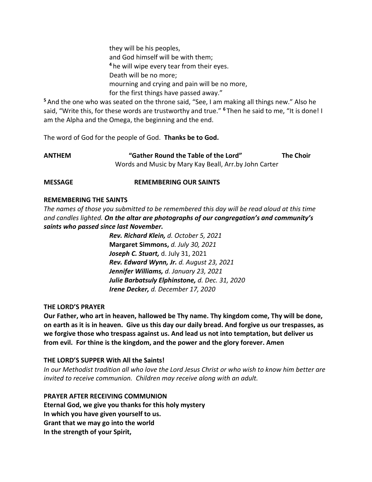they will be his peoples, and God himself will be with them; **<sup>4</sup>** he will wipe every tear from their eyes. Death will be no more; mourning and crying and pain will be no more, for the first things have passed away."

**<sup>5</sup>** And the one who was seated on the throne said, "See, I am making all things new." Also he said, "Write this, for these words are trustworthy and true." **<sup>6</sup>** Then he said to me, "It is done! I am the Alpha and the Omega, the beginning and the end.

The word of God for the people of God. **Thanks be to God.**

| ANTHEM | "Gather Round the Table of the Lord"                  | <b>The Choir</b> |
|--------|-------------------------------------------------------|------------------|
|        | Words and Music by Mary Kay Beall, Arr.by John Carter |                  |

#### **MESSAGE REMEMBERING OUR SAINTS**

#### **REMEMBERING THE SAINTS**

*The names of those you submitted to be remembered this day will be read aloud at this time and candles lighted. On the altar are photographs of our congregation's and community's saints who passed since last November.*

> *Rev. Richard Klein, d. October 5, 2021* **Margaret Simmons,** *d. July 30, 2021 Joseph C. Stuart,* d. July 31, 2021 *Rev. Edward Wynn, Jr. d. August 23, 2021 Jennifer Williams, d. January 23, 2021 Julie Barbatsuly Elphinstone, d. Dec. 31, 2020 Irene Decker, d. December 17, 2020*

#### **THE LORD'S PRAYER**

**Our Father, who art in heaven, hallowed be Thy name. Thy kingdom come, Thy will be done, on earth as it is in heaven. Give us this day our daily bread. And forgive us our trespasses, as we forgive those who trespass against us. And lead us not into temptation, but deliver us from evil. For thine is the kingdom, and the power and the glory forever. Amen**

#### **THE LORD'S SUPPER With All the Saints!**

*In our Methodist tradition all who love the Lord Jesus Christ or who wish to know him better are invited to receive communion. Children may receive along with an adult.*

# **PRAYER AFTER RECEIVING COMMUNION**

**Eternal God, we give you thanks for this holy mystery In which you have given yourself to us. Grant that we may go into the world In the strength of your Spirit,**